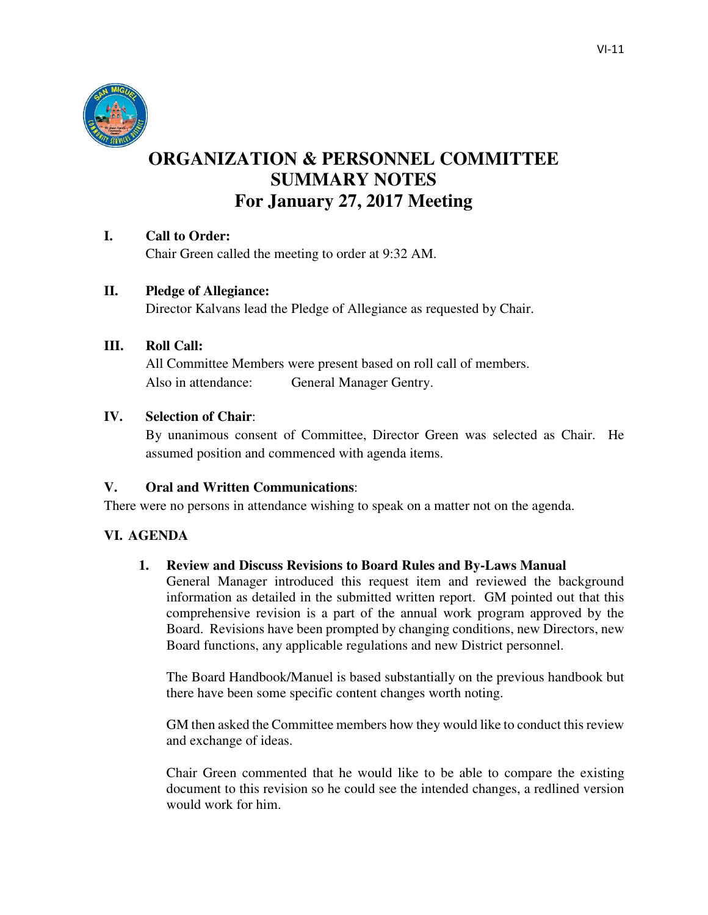

# **ORGANIZATION & PERSONNEL COMMITTEE SUMMARY NOTES For January 27, 2017 Meeting**

## **I. Call to Order:**

Chair Green called the meeting to order at 9:32 AM.

## **II. Pledge of Allegiance:**

Director Kalvans lead the Pledge of Allegiance as requested by Chair.

#### **III. Roll Call:**

All Committee Members were present based on roll call of members. Also in attendance: General Manager Gentry.

#### **IV. Selection of Chair**:

By unanimous consent of Committee, Director Green was selected as Chair. He assumed position and commenced with agenda items.

## **V. Oral and Written Communications**:

There were no persons in attendance wishing to speak on a matter not on the agenda.

#### **VI. AGENDA**

#### **1. Review and Discuss Revisions to Board Rules and By-Laws Manual**

General Manager introduced this request item and reviewed the background information as detailed in the submitted written report. GM pointed out that this comprehensive revision is a part of the annual work program approved by the Board. Revisions have been prompted by changing conditions, new Directors, new Board functions, any applicable regulations and new District personnel.

The Board Handbook/Manuel is based substantially on the previous handbook but there have been some specific content changes worth noting.

GM then asked the Committee members how they would like to conduct this review and exchange of ideas.

Chair Green commented that he would like to be able to compare the existing document to this revision so he could see the intended changes, a redlined version would work for him.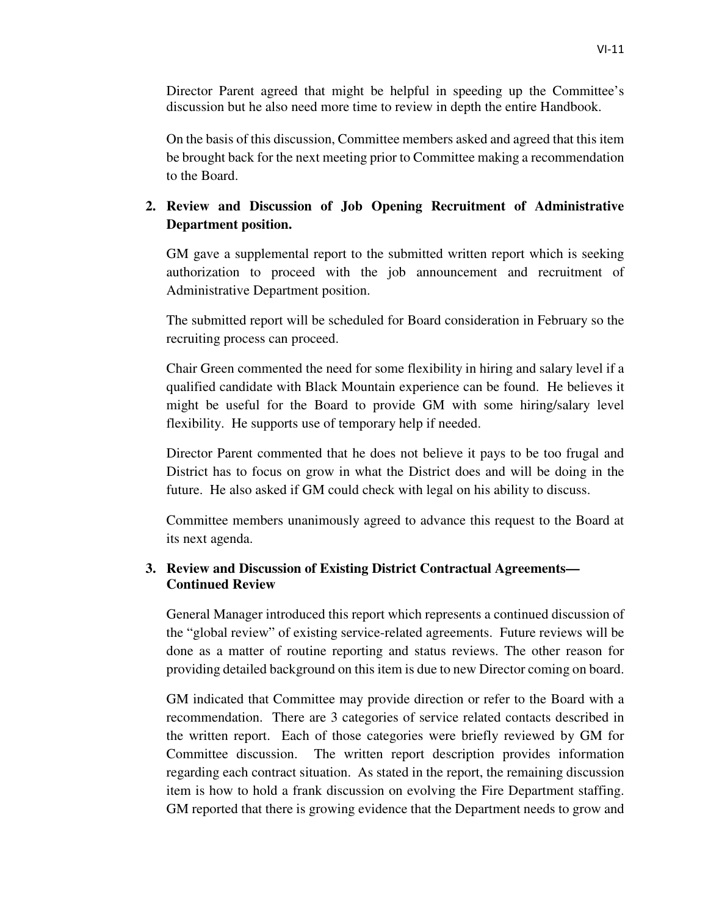On the basis of this discussion, Committee members asked and agreed that this item be brought back for the next meeting prior to Committee making a recommendation to the Board.

# **2. Review and Discussion of Job Opening Recruitment of Administrative Department position.**

GM gave a supplemental report to the submitted written report which is seeking authorization to proceed with the job announcement and recruitment of Administrative Department position.

The submitted report will be scheduled for Board consideration in February so the recruiting process can proceed.

Chair Green commented the need for some flexibility in hiring and salary level if a qualified candidate with Black Mountain experience can be found. He believes it might be useful for the Board to provide GM with some hiring/salary level flexibility. He supports use of temporary help if needed.

Director Parent commented that he does not believe it pays to be too frugal and District has to focus on grow in what the District does and will be doing in the future. He also asked if GM could check with legal on his ability to discuss.

Committee members unanimously agreed to advance this request to the Board at its next agenda.

# **3. Review and Discussion of Existing District Contractual Agreements— Continued Review**

General Manager introduced this report which represents a continued discussion of the "global review" of existing service-related agreements. Future reviews will be done as a matter of routine reporting and status reviews. The other reason for providing detailed background on this item is due to new Director coming on board.

GM indicated that Committee may provide direction or refer to the Board with a recommendation. There are 3 categories of service related contacts described in the written report. Each of those categories were briefly reviewed by GM for Committee discussion. The written report description provides information regarding each contract situation. As stated in the report, the remaining discussion item is how to hold a frank discussion on evolving the Fire Department staffing. GM reported that there is growing evidence that the Department needs to grow and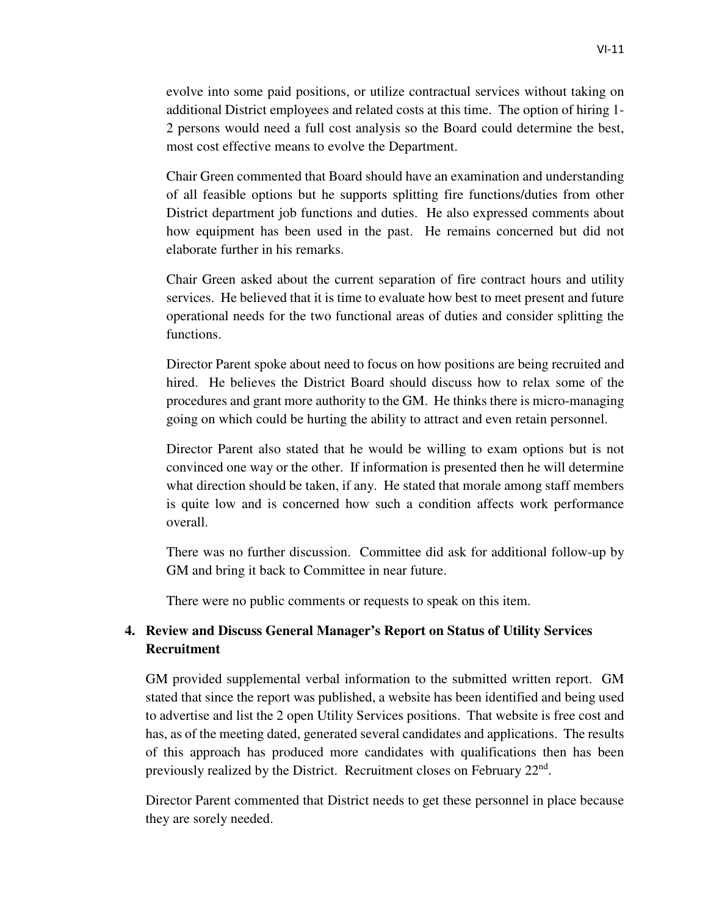evolve into some paid positions, or utilize contractual services without taking on additional District employees and related costs at this time. The option of hiring 1- 2 persons would need a full cost analysis so the Board could determine the best, most cost effective means to evolve the Department.

Chair Green commented that Board should have an examination and understanding of all feasible options but he supports splitting fire functions/duties from other District department job functions and duties. He also expressed comments about how equipment has been used in the past. He remains concerned but did not elaborate further in his remarks.

Chair Green asked about the current separation of fire contract hours and utility services. He believed that it is time to evaluate how best to meet present and future operational needs for the two functional areas of duties and consider splitting the functions.

Director Parent spoke about need to focus on how positions are being recruited and hired. He believes the District Board should discuss how to relax some of the procedures and grant more authority to the GM. He thinks there is micro-managing going on which could be hurting the ability to attract and even retain personnel.

Director Parent also stated that he would be willing to exam options but is not convinced one way or the other. If information is presented then he will determine what direction should be taken, if any. He stated that morale among staff members is quite low and is concerned how such a condition affects work performance overall.

There was no further discussion. Committee did ask for additional follow-up by GM and bring it back to Committee in near future.

There were no public comments or requests to speak on this item.

# **4. Review and Discuss General Manager's Report on Status of Utility Services Recruitment**

GM provided supplemental verbal information to the submitted written report. GM stated that since the report was published, a website has been identified and being used to advertise and list the 2 open Utility Services positions. That website is free cost and has, as of the meeting dated, generated several candidates and applications. The results of this approach has produced more candidates with qualifications then has been previously realized by the District. Recruitment closes on February 22<sup>nd</sup>.

 Director Parent commented that District needs to get these personnel in place because they are sorely needed.